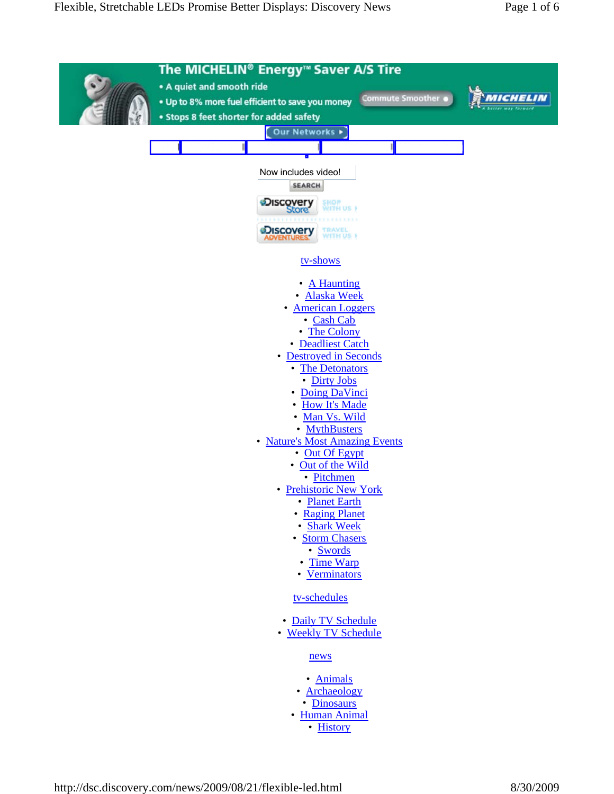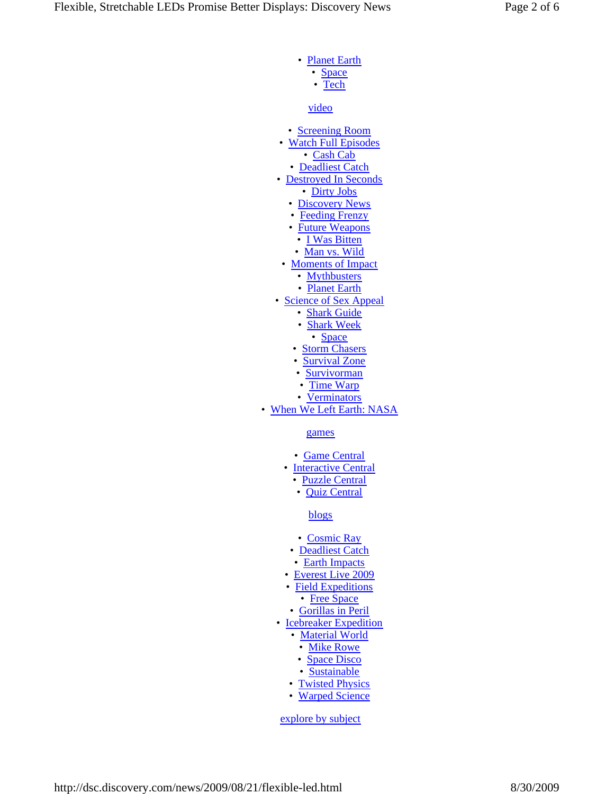- Planet Earth
	- Space
	- Tech

video

- Screening Room
- Watch Full Episodes
	- Cash Cab • Deadliest Catch
- Destroyed In Seconds
	- Dirty Jobs
	- Discovery News
	- Feeding Frenzy
	- Future Weapons
	- I Was Bitten
	- Man vs. Wild
- Moments of Impact
	- Mythbusters
		- Planet Earth
- Science of Sex Appeal
	- Shark Guide
	- Shark Week
		- Space
	- Storm Chasers
	- Survival Zone
	- Survivorman
	- Time Warp
	- Verminators

• When We Left Earth: NASA

games

- Game Central
- Interactive Central
	- Puzzle Central
	- Quiz Central

blogs

- Cosmic Ray
- Deadliest Catch
- Earth Impacts
- Everest Live 2009
- Field Expeditions
	- Free Space
- Gorillas in Peril
- Icebreaker Expedition
	- Material World
		- Mike Rowe
	- Space Disco
	- Sustainable
	- Twisted Physics
	- Warped Science

explore by subject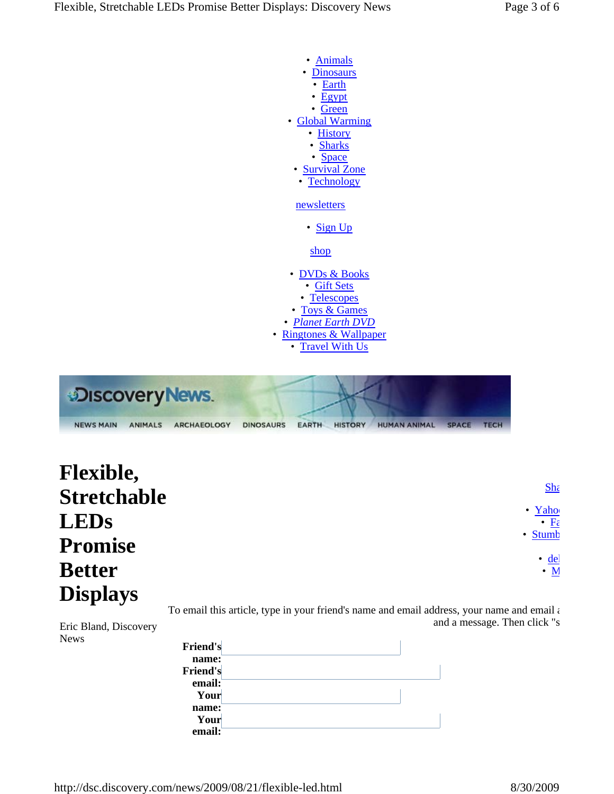

| <b>DISCOVETY News.</b> |                                      |  |                |              |              |  |
|------------------------|--------------------------------------|--|----------------|--------------|--------------|--|
| <b>NEWS MAIN</b>       | ANIMALS ARCHAEOLOGY DINOSALIRS FARTH |  | <b>HISTORY</b> | HUMAN ANIMAL | <b>SPACE</b> |  |

| <b>Flexible,</b>   |                                                       |
|--------------------|-------------------------------------------------------|
| <b>Stretchable</b> | $S$ <sub>h</sub>                                      |
| <b>LEDs</b>        | • $\frac{\text{Yaho}}{\cdot \frac{\text{F}z}{\cdot}}$ |
| <b>Promise</b>     | • Stumb                                               |
| <b>Better</b>      | $\cdot$ <u>de</u><br>$\overline{\cdot N}$             |
| <b>Displays</b>    |                                                       |

To email this article, type in your friend's name and email address, your name and email a and a message. Then click "s

Eric Bland, Discovery News

| <b>Friend's</b> |  |
|-----------------|--|
| name:           |  |
| <b>Friend's</b> |  |
| email:          |  |
| Your            |  |
| name:           |  |
| Your            |  |
| email:          |  |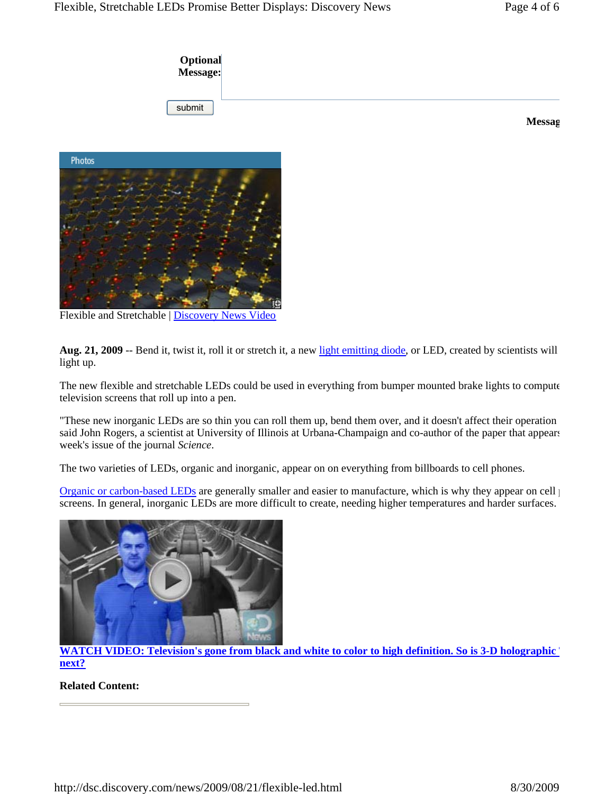

**Messag**



Flexible and Stretchable | Discovery News Video

**Aug. 21, 2009** -- Bend it, twist it, roll it or stretch it, a new light emitting diode, or LED, created by scientists will light up.

The new flexible and stretchable LEDs could be used in everything from bumper mounted brake lights to compute television screens that roll up into a pen.

"These new inorganic LEDs are so thin you can roll them up, bend them over, and it doesn't affect their operation said John Rogers, a scientist at University of Illinois at Urbana-Champaign and co-author of the paper that appears week's issue of the journal *Science*.

The two varieties of LEDs, organic and inorganic, appear on on everything from billboards to cell phones.

Organic or carbon-based LEDs are generally smaller and easier to manufacture, which is why they appear on cell  $\uparrow$ screens. In general, inorganic LEDs are more difficult to create, needing higher temperatures and harder surfaces.



**WATCH VIDEO: Television's gone from black and white to color to high definition. So is 3-D holographic next?**

## **Related Content:**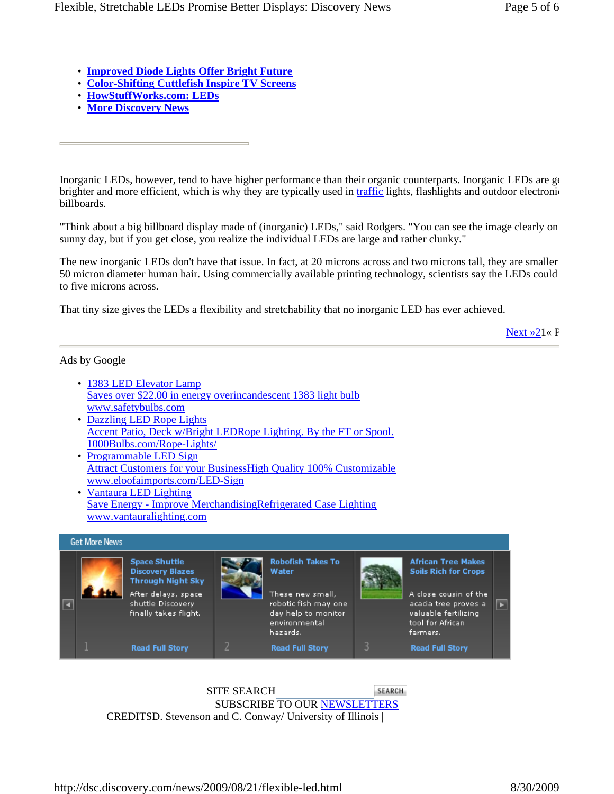- **Improved Diode Lights Offer Bright Future**
- **Color-Shifting Cuttlefish Inspire TV Screens**
- **HowStuffWorks.com: LEDs**
- **More Discovery News**

Inorganic LEDs, however, tend to have higher performance than their organic counterparts. Inorganic LEDs are ge brighter and more efficient, which is why they are typically used in traffic lights, flashlights and outdoor electronic billboards.

"Think about a big billboard display made of (inorganic) LEDs," said Rodgers. "You can see the image clearly on sunny day, but if you get close, you realize the individual LEDs are large and rather clunky."

The new inorganic LEDs don't have that issue. In fact, at 20 microns across and two microns tall, they are smaller 50 micron diameter human hair. Using commercially available printing technology, scientists say the LEDs could to five microns across.

That tiny size gives the LEDs a flexibility and stretchability that no inorganic LED has ever achieved.

Next »21« P

## Ads by Google

- 1383 LED Elevator Lamp Saves over \$22.00 in energy overincandescent 1383 light bulb www.safetybulbs.com
- Dazzling LED Rope Lights Accent Patio, Deck w/Bright LEDRope Lighting. By the FT or Spool. 1000Bulbs.com/Rope-Lights/
- Programmable LED Sign Attract Customers for your BusinessHigh Quality 100% Customizable www.eloofaimports.com/LED-Sign
- Vantaura LED Lighting Save Energy - Improve MerchandisingRefrigerated Case Lighting www.vantauralighting.com



SITE SEARCH SEARCH SUBSCRIBE TO OUR NEWSLETTERS CREDITSD. Stevenson and C. Conway/ University of Illinois |